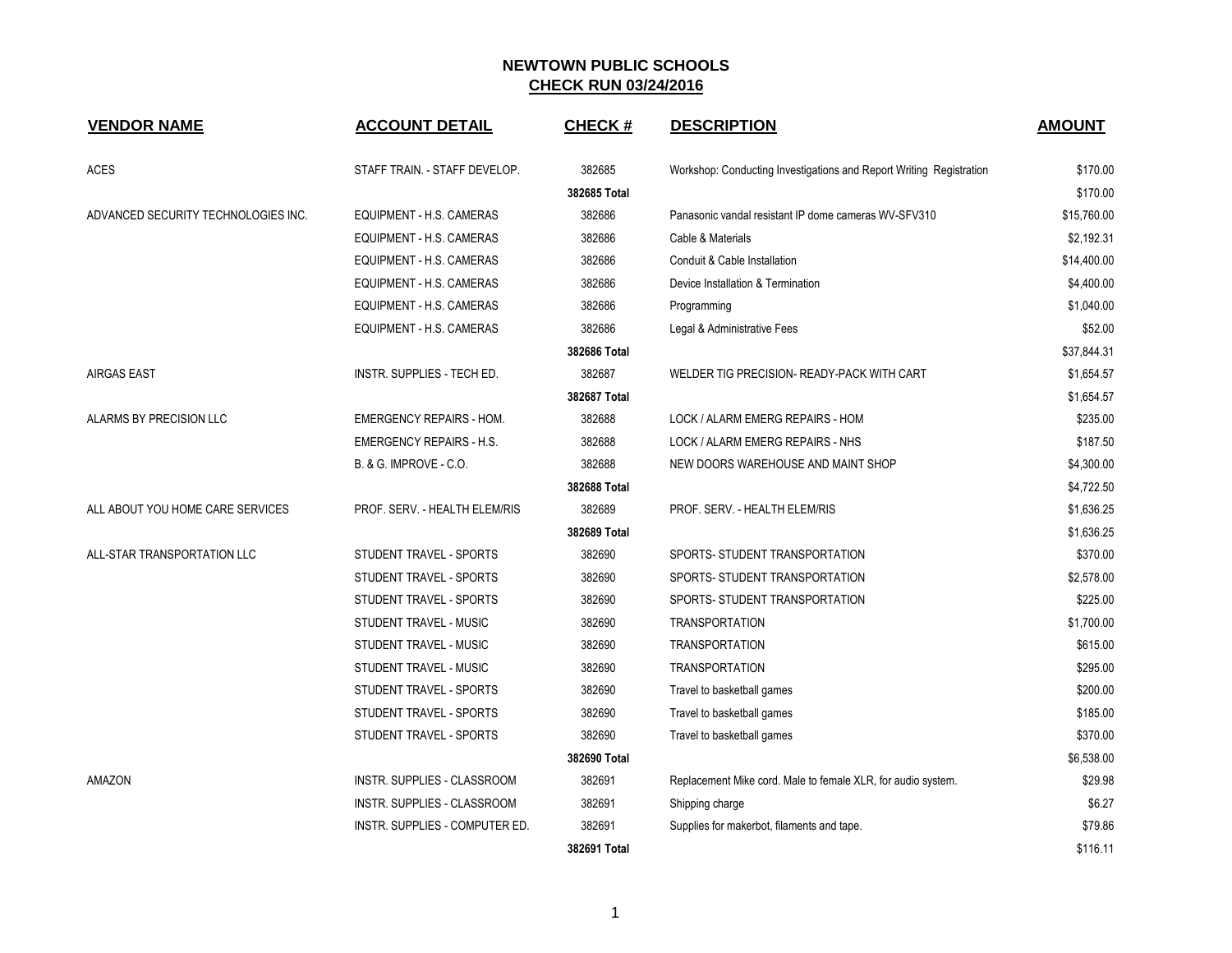| <b>VENDOR NAME</b>                  | <b>ACCOUNT DETAIL</b>             | <b>CHECK#</b> | <b>DESCRIPTION</b>                                                  | <b>AMOUNT</b> |
|-------------------------------------|-----------------------------------|---------------|---------------------------------------------------------------------|---------------|
| <b>ACES</b>                         | STAFF TRAIN. - STAFF DEVELOP.     | 382685        | Workshop: Conducting Investigations and Report Writing Registration | \$170.00      |
|                                     |                                   | 382685 Total  |                                                                     | \$170.00      |
| ADVANCED SECURITY TECHNOLOGIES INC. | EQUIPMENT - H.S. CAMERAS          | 382686        | Panasonic vandal resistant IP dome cameras WV-SFV310                | \$15,760.00   |
|                                     | EQUIPMENT - H.S. CAMERAS          | 382686        | Cable & Materials                                                   | \$2,192.31    |
|                                     | EQUIPMENT - H.S. CAMERAS          | 382686        | Conduit & Cable Installation                                        | \$14,400.00   |
|                                     | EQUIPMENT - H.S. CAMERAS          | 382686        | Device Installation & Termination                                   | \$4,400.00    |
|                                     | EQUIPMENT - H.S. CAMERAS          | 382686        | Programming                                                         | \$1,040.00    |
|                                     | EQUIPMENT - H.S. CAMERAS          | 382686        | Legal & Administrative Fees                                         | \$52.00       |
|                                     |                                   | 382686 Total  |                                                                     | \$37,844.31   |
| <b>AIRGAS EAST</b>                  | INSTR. SUPPLIES - TECH ED.        | 382687        | WELDER TIG PRECISION- READY-PACK WITH CART                          | \$1,654.57    |
|                                     |                                   | 382687 Total  |                                                                     | \$1,654.57    |
| ALARMS BY PRECISION LLC             | <b>EMERGENCY REPAIRS - HOM.</b>   | 382688        | LOCK / ALARM EMERG REPAIRS - HOM                                    | \$235.00      |
|                                     | <b>EMERGENCY REPAIRS - H.S.</b>   | 382688        | LOCK / ALARM EMERG REPAIRS - NHS                                    | \$187.50      |
|                                     | <b>B. &amp; G. IMPROVE - C.O.</b> | 382688        | NEW DOORS WAREHOUSE AND MAINT SHOP                                  | \$4,300.00    |
|                                     |                                   | 382688 Total  |                                                                     | \$4,722.50    |
| ALL ABOUT YOU HOME CARE SERVICES    | PROF. SERV. - HEALTH ELEM/RIS     | 382689        | PROF. SERV. - HEALTH ELEM/RIS                                       | \$1,636.25    |
|                                     |                                   | 382689 Total  |                                                                     | \$1,636.25    |
| ALL-STAR TRANSPORTATION LLC         | STUDENT TRAVEL - SPORTS           | 382690        | SPORTS- STUDENT TRANSPORTATION                                      | \$370.00      |
|                                     | STUDENT TRAVEL - SPORTS           | 382690        | SPORTS- STUDENT TRANSPORTATION                                      | \$2,578.00    |
|                                     | STUDENT TRAVEL - SPORTS           | 382690        | SPORTS- STUDENT TRANSPORTATION                                      | \$225.00      |
|                                     | STUDENT TRAVEL - MUSIC            | 382690        | <b>TRANSPORTATION</b>                                               | \$1,700.00    |
|                                     | STUDENT TRAVEL - MUSIC            | 382690        | <b>TRANSPORTATION</b>                                               | \$615.00      |
|                                     | STUDENT TRAVEL - MUSIC            | 382690        | <b>TRANSPORTATION</b>                                               | \$295.00      |
|                                     | STUDENT TRAVEL - SPORTS           | 382690        | Travel to basketball games                                          | \$200.00      |
|                                     | STUDENT TRAVEL - SPORTS           | 382690        | Travel to basketball games                                          | \$185.00      |
|                                     | STUDENT TRAVEL - SPORTS           | 382690        | Travel to basketball games                                          | \$370.00      |
|                                     |                                   | 382690 Total  |                                                                     | \$6,538.00    |
| AMAZON                              | INSTR. SUPPLIES - CLASSROOM       | 382691        | Replacement Mike cord. Male to female XLR, for audio system.        | \$29.98       |
|                                     | INSTR. SUPPLIES - CLASSROOM       | 382691        | Shipping charge                                                     | \$6.27        |
|                                     | INSTR. SUPPLIES - COMPUTER ED.    | 382691        | Supplies for makerbot, filaments and tape.                          | \$79.86       |
|                                     |                                   | 382691 Total  |                                                                     | \$116.11      |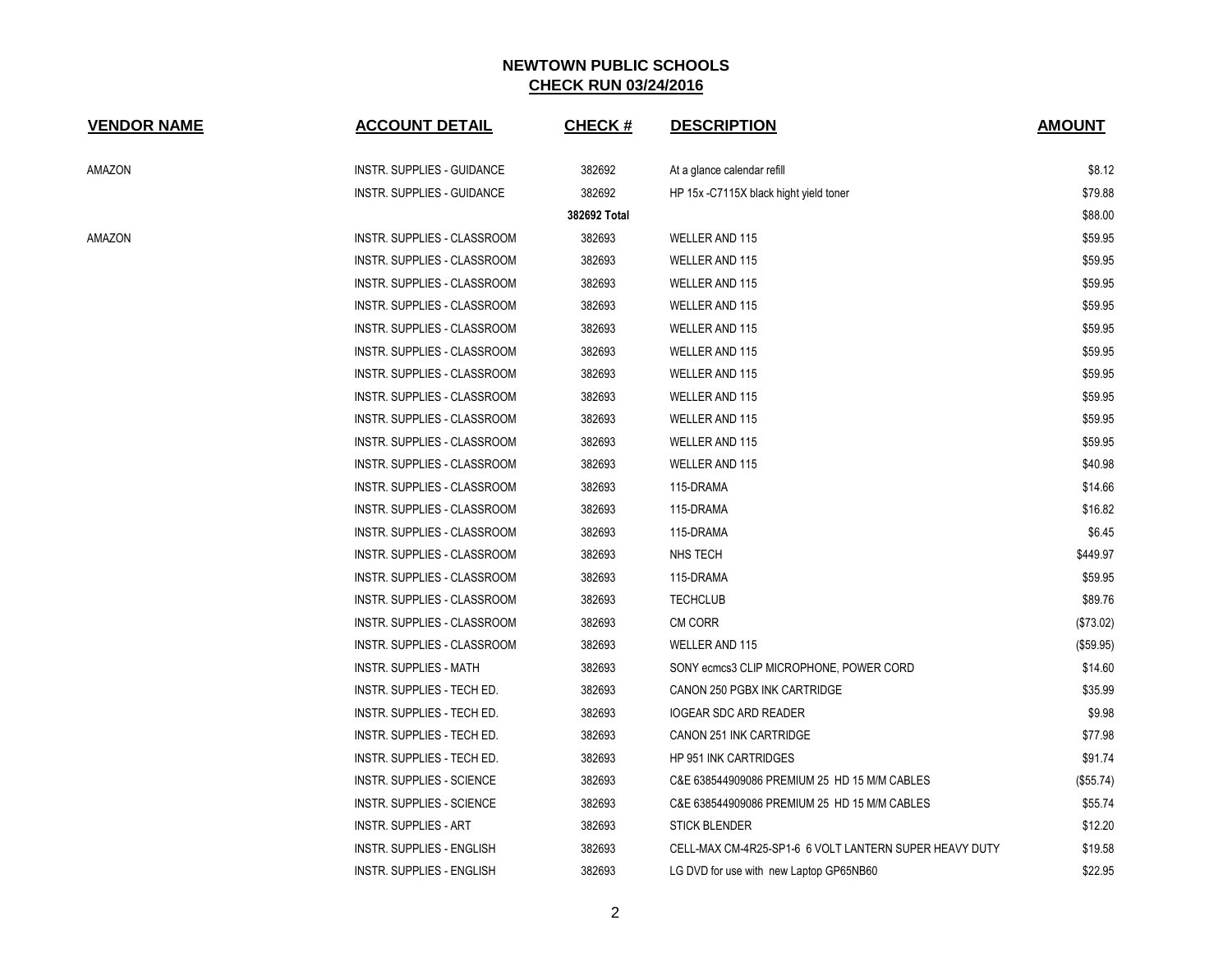| <b>VENDOR NAME</b> | <b>ACCOUNT DETAIL</b>              | <b>CHECK#</b> | <b>DESCRIPTION</b>                                     | <b>AMOUNT</b> |
|--------------------|------------------------------------|---------------|--------------------------------------------------------|---------------|
| AMAZON             | INSTR. SUPPLIES - GUIDANCE         | 382692        | At a glance calendar refill                            | \$8.12        |
|                    | INSTR. SUPPLIES - GUIDANCE         | 382692        | HP 15x -C7115X black hight yield toner                 | \$79.88       |
|                    |                                    | 382692 Total  |                                                        | \$88.00       |
| AMAZON             | INSTR. SUPPLIES - CLASSROOM        | 382693        | <b>WELLER AND 115</b>                                  | \$59.95       |
|                    | <b>INSTR. SUPPLIES - CLASSROOM</b> | 382693        | WELLER AND 115                                         | \$59.95       |
|                    | INSTR. SUPPLIES - CLASSROOM        | 382693        | WELLER AND 115                                         | \$59.95       |
|                    | INSTR. SUPPLIES - CLASSROOM        | 382693        | <b>WELLER AND 115</b>                                  | \$59.95       |
|                    | INSTR. SUPPLIES - CLASSROOM        | 382693        | WELLER AND 115                                         | \$59.95       |
|                    | INSTR. SUPPLIES - CLASSROOM        | 382693        | <b>WELLER AND 115</b>                                  | \$59.95       |
|                    | INSTR. SUPPLIES - CLASSROOM        | 382693        | WELLER AND 115                                         | \$59.95       |
|                    | INSTR. SUPPLIES - CLASSROOM        | 382693        | WELLER AND 115                                         | \$59.95       |
|                    | INSTR. SUPPLIES - CLASSROOM        | 382693        | WELLER AND 115                                         | \$59.95       |
|                    | INSTR. SUPPLIES - CLASSROOM        | 382693        | WELLER AND 115                                         | \$59.95       |
|                    | INSTR. SUPPLIES - CLASSROOM        | 382693        | <b>WELLER AND 115</b>                                  | \$40.98       |
|                    | INSTR. SUPPLIES - CLASSROOM        | 382693        | 115-DRAMA                                              | \$14.66       |
|                    | <b>INSTR. SUPPLIES - CLASSROOM</b> | 382693        | 115-DRAMA                                              | \$16.82       |
|                    | INSTR. SUPPLIES - CLASSROOM        | 382693        | 115-DRAMA                                              | \$6.45        |
|                    | INSTR. SUPPLIES - CLASSROOM        | 382693        | NHS TECH                                               | \$449.97      |
|                    | INSTR. SUPPLIES - CLASSROOM        | 382693        | 115-DRAMA                                              | \$59.95       |
|                    | INSTR. SUPPLIES - CLASSROOM        | 382693        | <b>TECHCLUB</b>                                        | \$89.76       |
|                    | INSTR. SUPPLIES - CLASSROOM        | 382693        | <b>CM CORR</b>                                         | (\$73.02)     |
|                    | <b>INSTR. SUPPLIES - CLASSROOM</b> | 382693        | <b>WELLER AND 115</b>                                  | (\$59.95)     |
|                    | <b>INSTR. SUPPLIES - MATH</b>      | 382693        | SONY ecmcs3 CLIP MICROPHONE, POWER CORD                | \$14.60       |
|                    | INSTR. SUPPLIES - TECH ED.         | 382693        | CANON 250 PGBX INK CARTRIDGE                           | \$35.99       |
|                    | INSTR. SUPPLIES - TECH ED.         | 382693        | <b>IOGEAR SDC ARD READER</b>                           | \$9.98        |
|                    | INSTR. SUPPLIES - TECH ED.         | 382693        | CANON 251 INK CARTRIDGE                                | \$77.98       |
|                    | INSTR. SUPPLIES - TECH ED.         | 382693        | <b>HP 951 INK CARTRIDGES</b>                           | \$91.74       |
|                    | <b>INSTR. SUPPLIES - SCIENCE</b>   | 382693        | C&E 638544909086 PREMIUM 25 HD 15 M/M CABLES           | (\$55.74)     |
|                    | INSTR. SUPPLIES - SCIENCE          | 382693        | C&E 638544909086 PREMIUM 25 HD 15 M/M CABLES           | \$55.74       |
|                    | <b>INSTR. SUPPLIES - ART</b>       | 382693        | <b>STICK BLENDER</b>                                   | \$12.20       |
|                    | <b>INSTR. SUPPLIES - ENGLISH</b>   | 382693        | CELL-MAX CM-4R25-SP1-6 6 VOLT LANTERN SUPER HEAVY DUTY | \$19.58       |
|                    | <b>INSTR. SUPPLIES - ENGLISH</b>   | 382693        | LG DVD for use with new Laptop GP65NB60                | \$22.95       |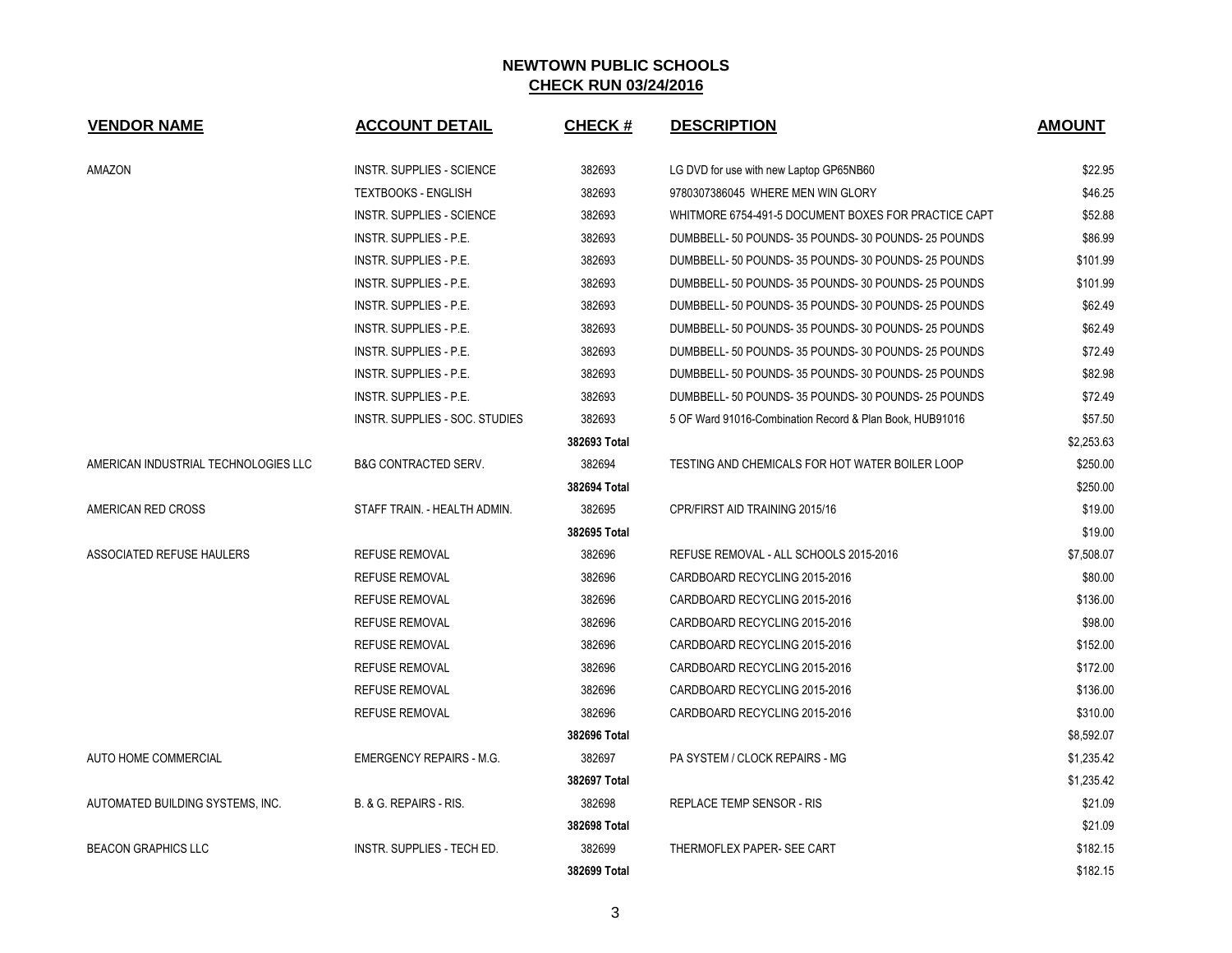| <b>VENDOR NAME</b>                   | <b>ACCOUNT DETAIL</b>             | <b>CHECK#</b> | <b>DESCRIPTION</b>                                       | <b>AMOUNT</b> |
|--------------------------------------|-----------------------------------|---------------|----------------------------------------------------------|---------------|
| AMAZON                               | <b>INSTR. SUPPLIES - SCIENCE</b>  | 382693        | LG DVD for use with new Laptop GP65NB60                  | \$22.95       |
|                                      | <b>TEXTBOOKS - ENGLISH</b>        | 382693        | 9780307386045 WHERE MEN WIN GLORY                        | \$46.25       |
|                                      | <b>INSTR. SUPPLIES - SCIENCE</b>  | 382693        | WHITMORE 6754-491-5 DOCUMENT BOXES FOR PRACTICE CAPT     | \$52.88       |
|                                      | INSTR. SUPPLIES - P.E.            | 382693        | DUMBBELL- 50 POUNDS- 35 POUNDS- 30 POUNDS- 25 POUNDS     | \$86.99       |
|                                      | INSTR. SUPPLIES - P.E.            | 382693        | DUMBBELL-50 POUNDS-35 POUNDS-30 POUNDS-25 POUNDS         | \$101.99      |
|                                      | INSTR. SUPPLIES - P.E.            | 382693        | DUMBBELL- 50 POUNDS- 35 POUNDS- 30 POUNDS- 25 POUNDS     | \$101.99      |
|                                      | <b>INSTR. SUPPLIES - P.E.</b>     | 382693        | DUMBBELL-50 POUNDS-35 POUNDS-30 POUNDS-25 POUNDS         | \$62.49       |
|                                      | INSTR. SUPPLIES - P.E.            | 382693        | DUMBBELL-50 POUNDS-35 POUNDS-30 POUNDS-25 POUNDS         | \$62.49       |
|                                      | INSTR. SUPPLIES - P.E.            | 382693        | DUMBBELL-50 POUNDS-35 POUNDS-30 POUNDS-25 POUNDS         | \$72.49       |
|                                      | INSTR. SUPPLIES - P.E.            | 382693        | DUMBBELL-50 POUNDS-35 POUNDS-30 POUNDS-25 POUNDS         | \$82.98       |
|                                      | <b>INSTR. SUPPLIES - P.E.</b>     | 382693        | DUMBBELL-50 POUNDS-35 POUNDS-30 POUNDS-25 POUNDS         | \$72.49       |
|                                      | INSTR. SUPPLIES - SOC. STUDIES    | 382693        | 5 OF Ward 91016-Combination Record & Plan Book, HUB91016 | \$57.50       |
|                                      |                                   | 382693 Total  |                                                          | \$2,253.63    |
| AMERICAN INDUSTRIAL TECHNOLOGIES LLC | <b>B&amp;G CONTRACTED SERV.</b>   | 382694        | TESTING AND CHEMICALS FOR HOT WATER BOILER LOOP          | \$250.00      |
|                                      |                                   | 382694 Total  |                                                          | \$250.00      |
| AMERICAN RED CROSS                   | STAFF TRAIN. - HEALTH ADMIN.      | 382695        | CPR/FIRST AID TRAINING 2015/16                           | \$19.00       |
|                                      |                                   | 382695 Total  |                                                          | \$19.00       |
| ASSOCIATED REFUSE HAULERS            | <b>REFUSE REMOVAL</b>             | 382696        | REFUSE REMOVAL - ALL SCHOOLS 2015-2016                   | \$7,508.07    |
|                                      | <b>REFUSE REMOVAL</b>             | 382696        | CARDBOARD RECYCLING 2015-2016                            | \$80.00       |
|                                      | <b>REFUSE REMOVAL</b>             | 382696        | CARDBOARD RECYCLING 2015-2016                            | \$136.00      |
|                                      | <b>REFUSE REMOVAL</b>             | 382696        | CARDBOARD RECYCLING 2015-2016                            | \$98.00       |
|                                      | <b>REFUSE REMOVAL</b>             | 382696        | CARDBOARD RECYCLING 2015-2016                            | \$152.00      |
|                                      | <b>REFUSE REMOVAL</b>             | 382696        | CARDBOARD RECYCLING 2015-2016                            | \$172.00      |
|                                      | <b>REFUSE REMOVAL</b>             | 382696        | CARDBOARD RECYCLING 2015-2016                            | \$136.00      |
|                                      | <b>REFUSE REMOVAL</b>             | 382696        | CARDBOARD RECYCLING 2015-2016                            | \$310.00      |
|                                      |                                   | 382696 Total  |                                                          | \$8,592.07    |
| AUTO HOME COMMERCIAL                 | <b>EMERGENCY REPAIRS - M.G.</b>   | 382697        | PA SYSTEM / CLOCK REPAIRS - MG                           | \$1,235.42    |
|                                      |                                   | 382697 Total  |                                                          | \$1,235.42    |
| AUTOMATED BUILDING SYSTEMS, INC.     | B. & G. REPAIRS - RIS.            | 382698        | <b>REPLACE TEMP SENSOR - RIS</b>                         | \$21.09       |
|                                      |                                   | 382698 Total  |                                                          | \$21.09       |
| <b>BEACON GRAPHICS LLC</b>           | <b>INSTR. SUPPLIES - TECH ED.</b> | 382699        | THERMOFLEX PAPER- SEE CART                               | \$182.15      |
|                                      |                                   | 382699 Total  |                                                          | \$182.15      |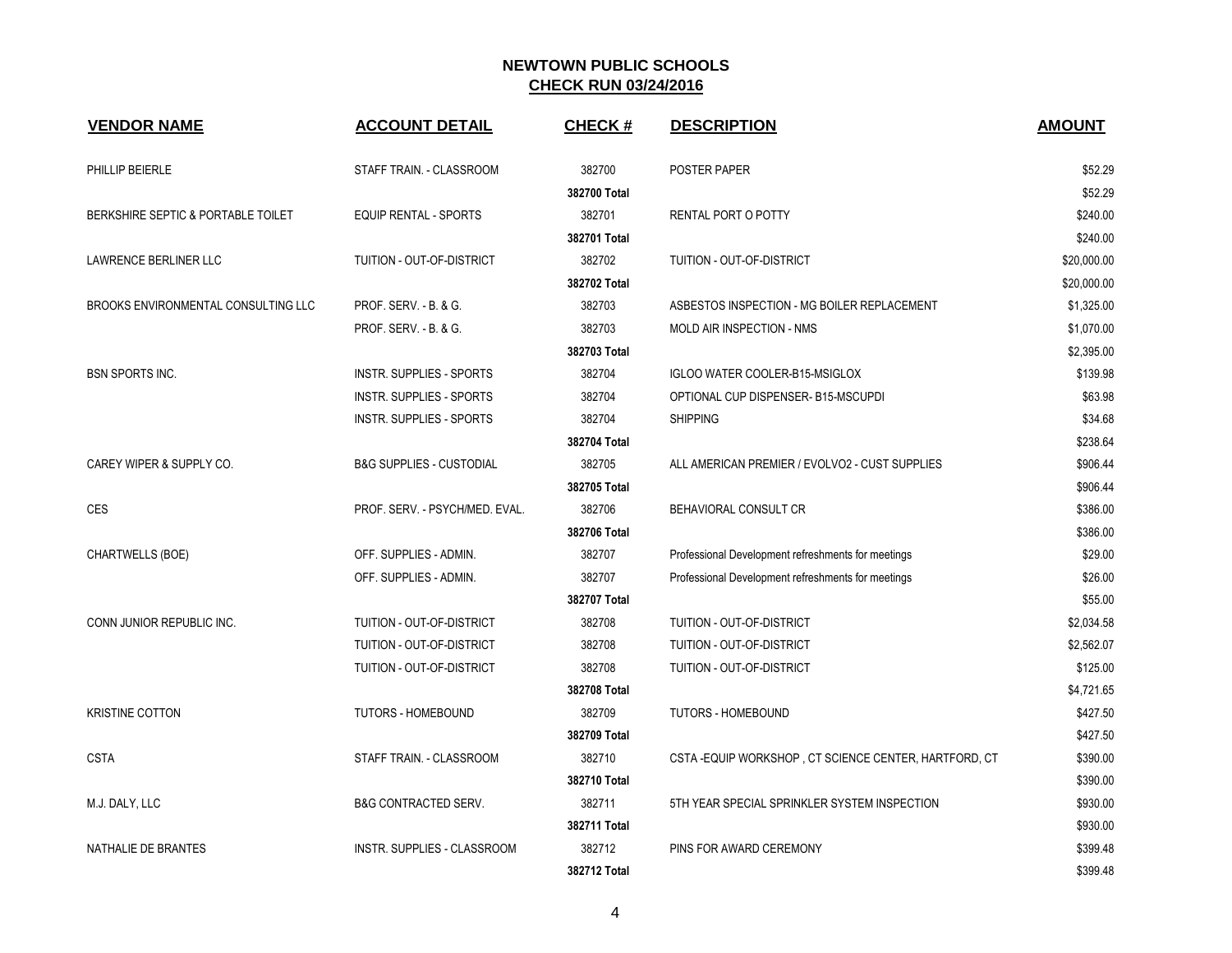| <b>VENDOR NAME</b>                  | <b>ACCOUNT DETAIL</b>               | <b>CHECK#</b> | <b>DESCRIPTION</b>                                   | <b>AMOUNT</b> |
|-------------------------------------|-------------------------------------|---------------|------------------------------------------------------|---------------|
| PHILLIP BEIERLE                     | STAFF TRAIN. - CLASSROOM            | 382700        | POSTER PAPER                                         | \$52.29       |
|                                     |                                     | 382700 Total  |                                                      | \$52.29       |
| BERKSHIRE SEPTIC & PORTABLE TOILET  | <b>EQUIP RENTAL - SPORTS</b>        | 382701        | RENTAL PORT O POTTY                                  | \$240.00      |
|                                     |                                     | 382701 Total  |                                                      | \$240.00      |
| LAWRENCE BERLINER LLC               | TUITION - OUT-OF-DISTRICT           | 382702        | TUITION - OUT-OF-DISTRICT                            | \$20,000.00   |
|                                     |                                     | 382702 Total  |                                                      | \$20,000.00   |
| BROOKS ENVIRONMENTAL CONSULTING LLC | PROF. SERV. - B. & G.               | 382703        | ASBESTOS INSPECTION - MG BOILER REPLACEMENT          | \$1,325.00    |
|                                     | PROF. SERV. - B. & G.               | 382703        | MOLD AIR INSPECTION - NMS                            | \$1,070.00    |
|                                     |                                     | 382703 Total  |                                                      | \$2,395.00    |
| <b>BSN SPORTS INC.</b>              | <b>INSTR. SUPPLIES - SPORTS</b>     | 382704        | <b>IGLOO WATER COOLER-B15-MSIGLOX</b>                | \$139.98      |
|                                     | <b>INSTR. SUPPLIES - SPORTS</b>     | 382704        | OPTIONAL CUP DISPENSER- B15-MSCUPDI                  | \$63.98       |
|                                     | <b>INSTR. SUPPLIES - SPORTS</b>     | 382704        | <b>SHIPPING</b>                                      | \$34.68       |
|                                     |                                     | 382704 Total  |                                                      | \$238.64      |
| CAREY WIPER & SUPPLY CO.            | <b>B&amp;G SUPPLIES - CUSTODIAL</b> | 382705        | ALL AMERICAN PREMIER / EVOLVO2 - CUST SUPPLIES       | \$906.44      |
|                                     |                                     | 382705 Total  |                                                      | \$906.44      |
| CES                                 | PROF. SERV. - PSYCH/MED. EVAL.      | 382706        | BEHAVIORAL CONSULT CR                                | \$386.00      |
|                                     |                                     | 382706 Total  |                                                      | \$386.00      |
| CHARTWELLS (BOE)                    | OFF. SUPPLIES - ADMIN.              | 382707        | Professional Development refreshments for meetings   | \$29.00       |
|                                     | OFF. SUPPLIES - ADMIN.              | 382707        | Professional Development refreshments for meetings   | \$26.00       |
|                                     |                                     | 382707 Total  |                                                      | \$55.00       |
| CONN JUNIOR REPUBLIC INC.           | TUITION - OUT-OF-DISTRICT           | 382708        | TUITION - OUT-OF-DISTRICT                            | \$2,034.58    |
|                                     | TUITION - OUT-OF-DISTRICT           | 382708        | TUITION - OUT-OF-DISTRICT                            | \$2,562.07    |
|                                     | TUITION - OUT-OF-DISTRICT           | 382708        | TUITION - OUT-OF-DISTRICT                            | \$125.00      |
|                                     |                                     | 382708 Total  |                                                      | \$4,721.65    |
| <b>KRISTINE COTTON</b>              | <b>TUTORS - HOMEBOUND</b>           | 382709        | <b>TUTORS - HOMEBOUND</b>                            | \$427.50      |
|                                     |                                     | 382709 Total  |                                                      | \$427.50      |
| <b>CSTA</b>                         | STAFF TRAIN. - CLASSROOM            | 382710        | CSTA-EQUIP WORKSHOP, CT SCIENCE CENTER, HARTFORD, CT | \$390.00      |
|                                     |                                     | 382710 Total  |                                                      | \$390.00      |
| M.J. DALY, LLC                      | <b>B&amp;G CONTRACTED SERV.</b>     | 382711        | 5TH YEAR SPECIAL SPRINKLER SYSTEM INSPECTION         | \$930.00      |
|                                     |                                     | 382711 Total  |                                                      | \$930.00      |
| NATHALIE DE BRANTES                 | <b>INSTR. SUPPLIES - CLASSROOM</b>  | 382712        | PINS FOR AWARD CEREMONY                              | \$399.48      |
|                                     |                                     | 382712 Total  |                                                      | \$399.48      |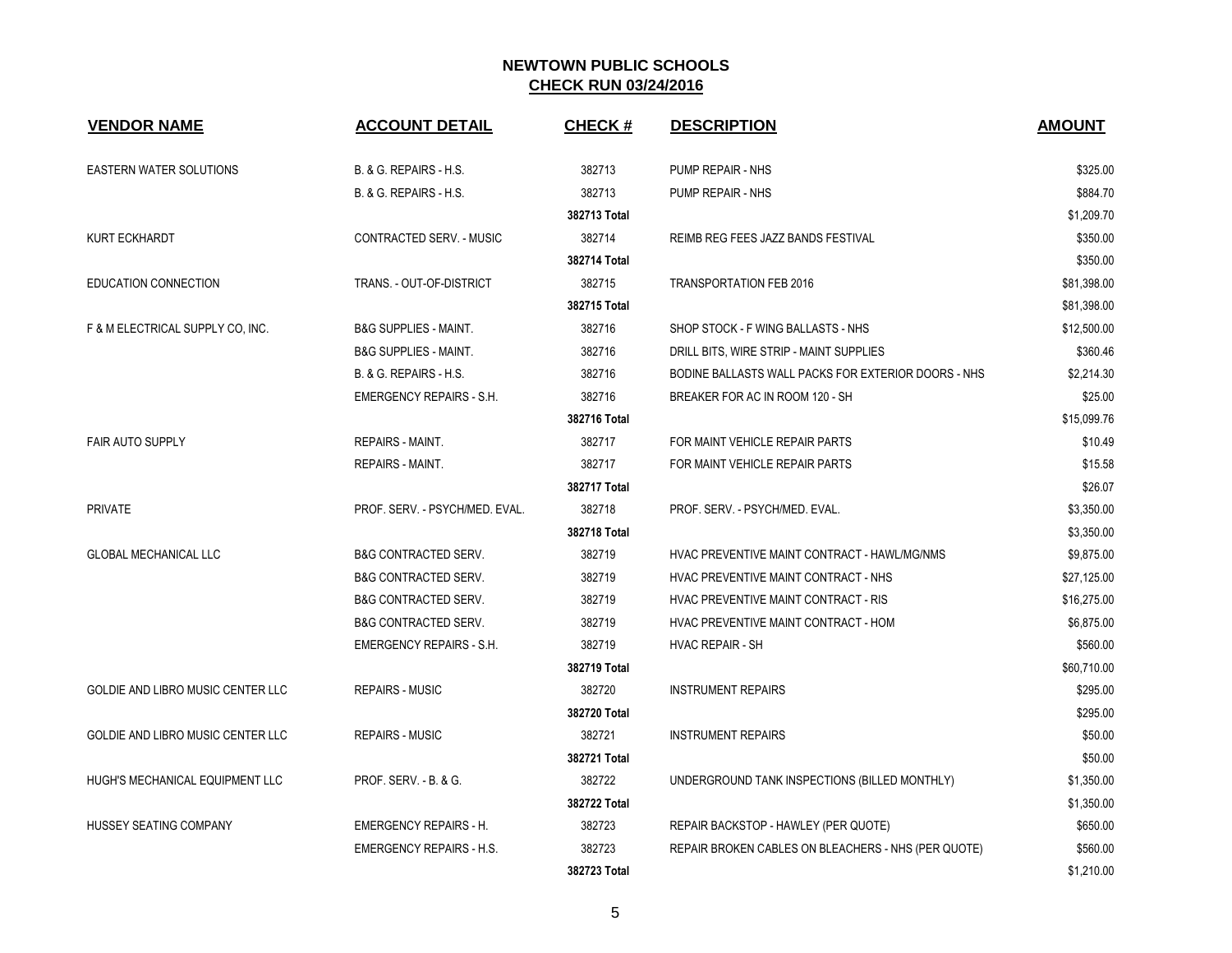| <b>VENDOR NAME</b>                | <b>ACCOUNT DETAIL</b>             | <b>CHECK#</b> | <b>DESCRIPTION</b>                                  | <b>AMOUNT</b> |
|-----------------------------------|-----------------------------------|---------------|-----------------------------------------------------|---------------|
| <b>EASTERN WATER SOLUTIONS</b>    | B. & G. REPAIRS - H.S.            | 382713        | PUMP REPAIR - NHS                                   | \$325.00      |
|                                   | <b>B. &amp; G. REPAIRS - H.S.</b> | 382713        | PUMP REPAIR - NHS                                   | \$884.70      |
|                                   |                                   | 382713 Total  |                                                     | \$1,209.70    |
| <b>KURT ECKHARDT</b>              | CONTRACTED SERV. - MUSIC          | 382714        | REIMB REG FEES JAZZ BANDS FESTIVAL                  | \$350.00      |
|                                   |                                   | 382714 Total  |                                                     | \$350.00      |
| <b>EDUCATION CONNECTION</b>       | TRANS. - OUT-OF-DISTRICT          | 382715        | <b>TRANSPORTATION FEB 2016</b>                      | \$81,398.00   |
|                                   |                                   | 382715 Total  |                                                     | \$81,398.00   |
| F & M ELECTRICAL SUPPLY CO, INC.  | <b>B&amp;G SUPPLIES - MAINT.</b>  | 382716        | SHOP STOCK - F WING BALLASTS - NHS                  | \$12,500.00   |
|                                   | <b>B&amp;G SUPPLIES - MAINT.</b>  | 382716        | DRILL BITS, WIRE STRIP - MAINT SUPPLIES             | \$360.46      |
|                                   | B. & G. REPAIRS - H.S.            | 382716        | BODINE BALLASTS WALL PACKS FOR EXTERIOR DOORS - NHS | \$2,214.30    |
|                                   | <b>EMERGENCY REPAIRS - S.H.</b>   | 382716        | BREAKER FOR AC IN ROOM 120 - SH                     | \$25.00       |
|                                   |                                   | 382716 Total  |                                                     | \$15,099.76   |
| <b>FAIR AUTO SUPPLY</b>           | REPAIRS - MAINT.                  | 382717        | FOR MAINT VEHICLE REPAIR PARTS                      | \$10.49       |
|                                   | <b>REPAIRS - MAINT.</b>           | 382717        | FOR MAINT VEHICLE REPAIR PARTS                      | \$15.58       |
|                                   |                                   | 382717 Total  |                                                     | \$26.07       |
| <b>PRIVATE</b>                    | PROF. SERV. - PSYCH/MED. EVAL.    | 382718        | PROF. SERV. - PSYCH/MED. EVAL.                      | \$3,350.00    |
|                                   |                                   | 382718 Total  |                                                     | \$3,350.00    |
| <b>GLOBAL MECHANICAL LLC</b>      | <b>B&amp;G CONTRACTED SERV.</b>   | 382719        | HVAC PREVENTIVE MAINT CONTRACT - HAWL/MG/NMS        | \$9,875.00    |
|                                   | <b>B&amp;G CONTRACTED SERV.</b>   | 382719        | HVAC PREVENTIVE MAINT CONTRACT - NHS                | \$27,125.00   |
|                                   | <b>B&amp;G CONTRACTED SERV.</b>   | 382719        | HVAC PREVENTIVE MAINT CONTRACT - RIS                | \$16,275.00   |
|                                   | <b>B&amp;G CONTRACTED SERV.</b>   | 382719        | HVAC PREVENTIVE MAINT CONTRACT - HOM                | \$6,875.00    |
|                                   | <b>EMERGENCY REPAIRS - S.H.</b>   | 382719        | <b>HVAC REPAIR - SH</b>                             | \$560.00      |
|                                   |                                   | 382719 Total  |                                                     | \$60,710.00   |
| GOLDIE AND LIBRO MUSIC CENTER LLC | <b>REPAIRS - MUSIC</b>            | 382720        | <b>INSTRUMENT REPAIRS</b>                           | \$295.00      |
|                                   |                                   | 382720 Total  |                                                     | \$295.00      |
| GOLDIE AND LIBRO MUSIC CENTER LLC | <b>REPAIRS - MUSIC</b>            | 382721        | <b>INSTRUMENT REPAIRS</b>                           | \$50.00       |
|                                   |                                   | 382721 Total  |                                                     | \$50.00       |
| HUGH'S MECHANICAL EQUIPMENT LLC   | PROF. SERV. - B. & G.             | 382722        | UNDERGROUND TANK INSPECTIONS (BILLED MONTHLY)       | \$1,350.00    |
|                                   |                                   | 382722 Total  |                                                     | \$1,350.00    |
| HUSSEY SEATING COMPANY            | <b>EMERGENCY REPAIRS - H.</b>     | 382723        | REPAIR BACKSTOP - HAWLEY (PER QUOTE)                | \$650.00      |
|                                   | <b>EMERGENCY REPAIRS - H.S.</b>   | 382723        | REPAIR BROKEN CABLES ON BLEACHERS - NHS (PER QUOTE) | \$560.00      |
|                                   |                                   | 382723 Total  |                                                     | \$1,210.00    |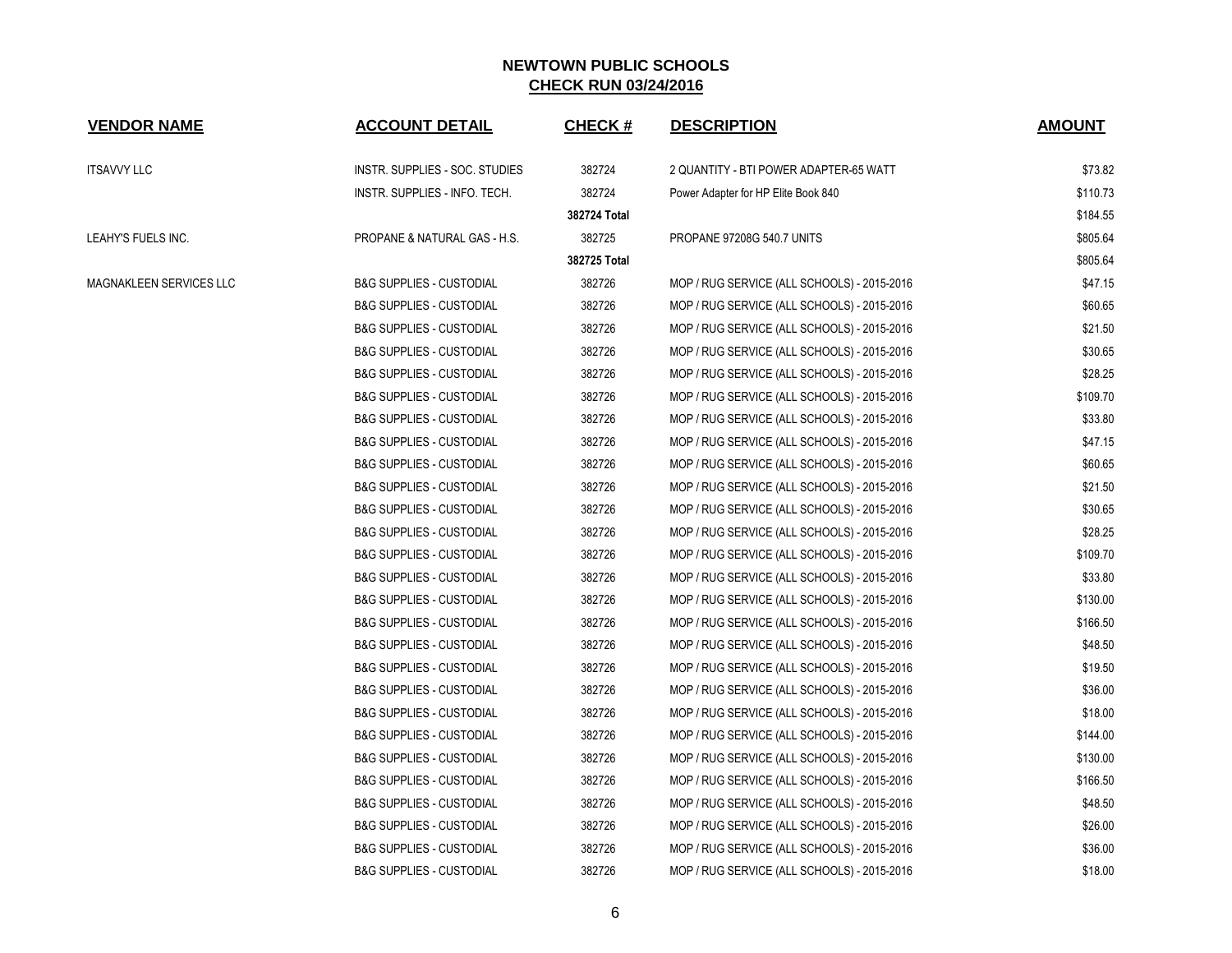| <b>VENDOR NAME</b>      | <b>ACCOUNT DETAIL</b>               | <b>CHECK#</b> | <b>DESCRIPTION</b>                          | <b>AMOUNT</b> |
|-------------------------|-------------------------------------|---------------|---------------------------------------------|---------------|
| <b>ITSAVVY LLC</b>      | INSTR. SUPPLIES - SOC. STUDIES      | 382724        | 2 QUANTITY - BTI POWER ADAPTER-65 WATT      | \$73.82       |
|                         | INSTR. SUPPLIES - INFO. TECH.       | 382724        | Power Adapter for HP Elite Book 840         | \$110.73      |
|                         |                                     | 382724 Total  |                                             | \$184.55      |
| LEAHY'S FUELS INC.      | PROPANE & NATURAL GAS - H.S.        | 382725        | PROPANE 97208G 540.7 UNITS                  | \$805.64      |
|                         |                                     | 382725 Total  |                                             | \$805.64      |
| MAGNAKLEEN SERVICES LLC | <b>B&amp;G SUPPLIES - CUSTODIAL</b> | 382726        | MOP / RUG SERVICE (ALL SCHOOLS) - 2015-2016 | \$47.15       |
|                         | <b>B&amp;G SUPPLIES - CUSTODIAL</b> | 382726        | MOP / RUG SERVICE (ALL SCHOOLS) - 2015-2016 | \$60.65       |
|                         | <b>B&amp;G SUPPLIES - CUSTODIAL</b> | 382726        | MOP / RUG SERVICE (ALL SCHOOLS) - 2015-2016 | \$21.50       |
|                         | <b>B&amp;G SUPPLIES - CUSTODIAL</b> | 382726        | MOP / RUG SERVICE (ALL SCHOOLS) - 2015-2016 | \$30.65       |
|                         | <b>B&amp;G SUPPLIES - CUSTODIAL</b> | 382726        | MOP / RUG SERVICE (ALL SCHOOLS) - 2015-2016 | \$28.25       |
|                         | <b>B&amp;G SUPPLIES - CUSTODIAL</b> | 382726        | MOP / RUG SERVICE (ALL SCHOOLS) - 2015-2016 | \$109.70      |
|                         | <b>B&amp;G SUPPLIES - CUSTODIAL</b> | 382726        | MOP / RUG SERVICE (ALL SCHOOLS) - 2015-2016 | \$33.80       |
|                         | <b>B&amp;G SUPPLIES - CUSTODIAL</b> | 382726        | MOP / RUG SERVICE (ALL SCHOOLS) - 2015-2016 | \$47.15       |
|                         | <b>B&amp;G SUPPLIES - CUSTODIAL</b> | 382726        | MOP / RUG SERVICE (ALL SCHOOLS) - 2015-2016 | \$60.65       |
|                         | <b>B&amp;G SUPPLIES - CUSTODIAL</b> | 382726        | MOP / RUG SERVICE (ALL SCHOOLS) - 2015-2016 | \$21.50       |
|                         | <b>B&amp;G SUPPLIES - CUSTODIAL</b> | 382726        | MOP / RUG SERVICE (ALL SCHOOLS) - 2015-2016 | \$30.65       |
|                         | <b>B&amp;G SUPPLIES - CUSTODIAL</b> | 382726        | MOP / RUG SERVICE (ALL SCHOOLS) - 2015-2016 | \$28.25       |
|                         | <b>B&amp;G SUPPLIES - CUSTODIAL</b> | 382726        | MOP / RUG SERVICE (ALL SCHOOLS) - 2015-2016 | \$109.70      |
|                         | <b>B&amp;G SUPPLIES - CUSTODIAL</b> | 382726        | MOP / RUG SERVICE (ALL SCHOOLS) - 2015-2016 | \$33.80       |
|                         | <b>B&amp;G SUPPLIES - CUSTODIAL</b> | 382726        | MOP / RUG SERVICE (ALL SCHOOLS) - 2015-2016 | \$130.00      |
|                         | <b>B&amp;G SUPPLIES - CUSTODIAL</b> | 382726        | MOP / RUG SERVICE (ALL SCHOOLS) - 2015-2016 | \$166.50      |
|                         | <b>B&amp;G SUPPLIES - CUSTODIAL</b> | 382726        | MOP / RUG SERVICE (ALL SCHOOLS) - 2015-2016 | \$48.50       |
|                         | <b>B&amp;G SUPPLIES - CUSTODIAL</b> | 382726        | MOP / RUG SERVICE (ALL SCHOOLS) - 2015-2016 | \$19.50       |
|                         | <b>B&amp;G SUPPLIES - CUSTODIAL</b> | 382726        | MOP / RUG SERVICE (ALL SCHOOLS) - 2015-2016 | \$36.00       |
|                         | <b>B&amp;G SUPPLIES - CUSTODIAL</b> | 382726        | MOP / RUG SERVICE (ALL SCHOOLS) - 2015-2016 | \$18.00       |
|                         | <b>B&amp;G SUPPLIES - CUSTODIAL</b> | 382726        | MOP / RUG SERVICE (ALL SCHOOLS) - 2015-2016 | \$144.00      |
|                         | <b>B&amp;G SUPPLIES - CUSTODIAL</b> | 382726        | MOP / RUG SERVICE (ALL SCHOOLS) - 2015-2016 | \$130.00      |
|                         | <b>B&amp;G SUPPLIES - CUSTODIAL</b> | 382726        | MOP / RUG SERVICE (ALL SCHOOLS) - 2015-2016 | \$166.50      |
|                         | <b>B&amp;G SUPPLIES - CUSTODIAL</b> | 382726        | MOP / RUG SERVICE (ALL SCHOOLS) - 2015-2016 | \$48.50       |
|                         | <b>B&amp;G SUPPLIES - CUSTODIAL</b> | 382726        | MOP / RUG SERVICE (ALL SCHOOLS) - 2015-2016 | \$26.00       |
|                         | <b>B&amp;G SUPPLIES - CUSTODIAL</b> | 382726        | MOP / RUG SERVICE (ALL SCHOOLS) - 2015-2016 | \$36.00       |
|                         | <b>B&amp;G SUPPLIES - CUSTODIAL</b> | 382726        | MOP / RUG SERVICE (ALL SCHOOLS) - 2015-2016 | \$18.00       |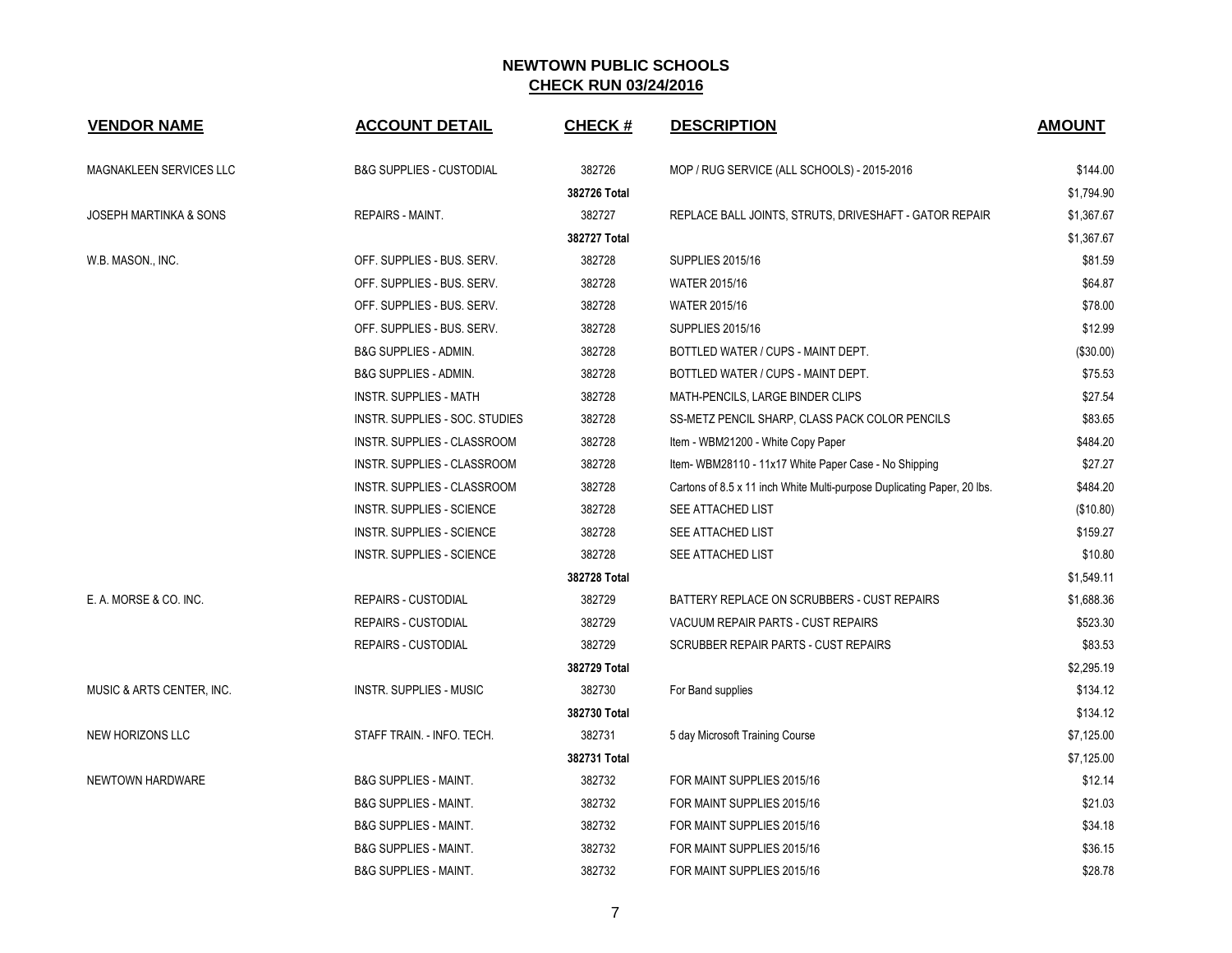| <b>VENDOR NAME</b>                | <b>ACCOUNT DETAIL</b>               | <b>CHECK#</b> | <b>DESCRIPTION</b>                                                      | <b>AMOUNT</b> |
|-----------------------------------|-------------------------------------|---------------|-------------------------------------------------------------------------|---------------|
| MAGNAKLEEN SERVICES LLC           | <b>B&amp;G SUPPLIES - CUSTODIAL</b> | 382726        | MOP / RUG SERVICE (ALL SCHOOLS) - 2015-2016                             | \$144.00      |
|                                   |                                     | 382726 Total  |                                                                         | \$1,794.90    |
| <b>JOSEPH MARTINKA &amp; SONS</b> | <b>REPAIRS - MAINT.</b>             | 382727        | REPLACE BALL JOINTS, STRUTS, DRIVESHAFT - GATOR REPAIR                  | \$1,367.67    |
|                                   |                                     | 382727 Total  |                                                                         | \$1,367.67    |
| W.B. MASON., INC.                 | OFF. SUPPLIES - BUS. SERV.          | 382728        | <b>SUPPLIES 2015/16</b>                                                 | \$81.59       |
|                                   | OFF. SUPPLIES - BUS. SERV.          | 382728        | WATER 2015/16                                                           | \$64.87       |
|                                   | OFF. SUPPLIES - BUS. SERV.          | 382728        | WATER 2015/16                                                           | \$78.00       |
|                                   | OFF. SUPPLIES - BUS. SERV.          | 382728        | <b>SUPPLIES 2015/16</b>                                                 | \$12.99       |
|                                   | B&G SUPPLIES - ADMIN.               | 382728        | BOTTLED WATER / CUPS - MAINT DEPT.                                      | (\$30.00)     |
|                                   | <b>B&amp;G SUPPLIES - ADMIN.</b>    | 382728        | BOTTLED WATER / CUPS - MAINT DEPT.                                      | \$75.53       |
|                                   | <b>INSTR. SUPPLIES - MATH</b>       | 382728        | MATH-PENCILS, LARGE BINDER CLIPS                                        | \$27.54       |
|                                   | INSTR. SUPPLIES - SOC. STUDIES      | 382728        | SS-METZ PENCIL SHARP, CLASS PACK COLOR PENCILS                          | \$83.65       |
|                                   | INSTR. SUPPLIES - CLASSROOM         | 382728        | Item - WBM21200 - White Copy Paper                                      | \$484.20      |
|                                   | INSTR. SUPPLIES - CLASSROOM         | 382728        | Item- WBM28110 - 11x17 White Paper Case - No Shipping                   | \$27.27       |
|                                   | INSTR. SUPPLIES - CLASSROOM         | 382728        | Cartons of 8.5 x 11 inch White Multi-purpose Duplicating Paper, 20 lbs. | \$484.20      |
|                                   | <b>INSTR. SUPPLIES - SCIENCE</b>    | 382728        | SEE ATTACHED LIST                                                       | (\$10.80)     |
|                                   | INSTR. SUPPLIES - SCIENCE           | 382728        | SEE ATTACHED LIST                                                       | \$159.27      |
|                                   | <b>INSTR. SUPPLIES - SCIENCE</b>    | 382728        | SEE ATTACHED LIST                                                       | \$10.80       |
|                                   |                                     | 382728 Total  |                                                                         | \$1,549.11    |
| E. A. MORSE & CO. INC.            | <b>REPAIRS - CUSTODIAL</b>          | 382729        | BATTERY REPLACE ON SCRUBBERS - CUST REPAIRS                             | \$1,688.36    |
|                                   | <b>REPAIRS - CUSTODIAL</b>          | 382729        | VACUUM REPAIR PARTS - CUST REPAIRS                                      | \$523.30      |
|                                   | <b>REPAIRS - CUSTODIAL</b>          | 382729        | SCRUBBER REPAIR PARTS - CUST REPAIRS                                    | \$83.53       |
|                                   |                                     | 382729 Total  |                                                                         | \$2,295.19    |
| MUSIC & ARTS CENTER, INC.         | <b>INSTR. SUPPLIES - MUSIC</b>      | 382730        | For Band supplies                                                       | \$134.12      |
|                                   |                                     | 382730 Total  |                                                                         | \$134.12      |
| <b>NEW HORIZONS LLC</b>           | STAFF TRAIN. - INFO. TECH.          | 382731        | 5 day Microsoft Training Course                                         | \$7,125.00    |
|                                   |                                     | 382731 Total  |                                                                         | \$7.125.00    |
| NEWTOWN HARDWARE                  | <b>B&amp;G SUPPLIES - MAINT.</b>    | 382732        | FOR MAINT SUPPLIES 2015/16                                              | \$12.14       |
|                                   | <b>B&amp;G SUPPLIES - MAINT.</b>    | 382732        | FOR MAINT SUPPLIES 2015/16                                              | \$21.03       |
|                                   | <b>B&amp;G SUPPLIES - MAINT.</b>    | 382732        | FOR MAINT SUPPLIES 2015/16                                              | \$34.18       |
|                                   | B&G SUPPLIES - MAINT.               | 382732        | FOR MAINT SUPPLIES 2015/16                                              | \$36.15       |
|                                   | <b>B&amp;G SUPPLIES - MAINT.</b>    | 382732        | FOR MAINT SUPPLIES 2015/16                                              | \$28.78       |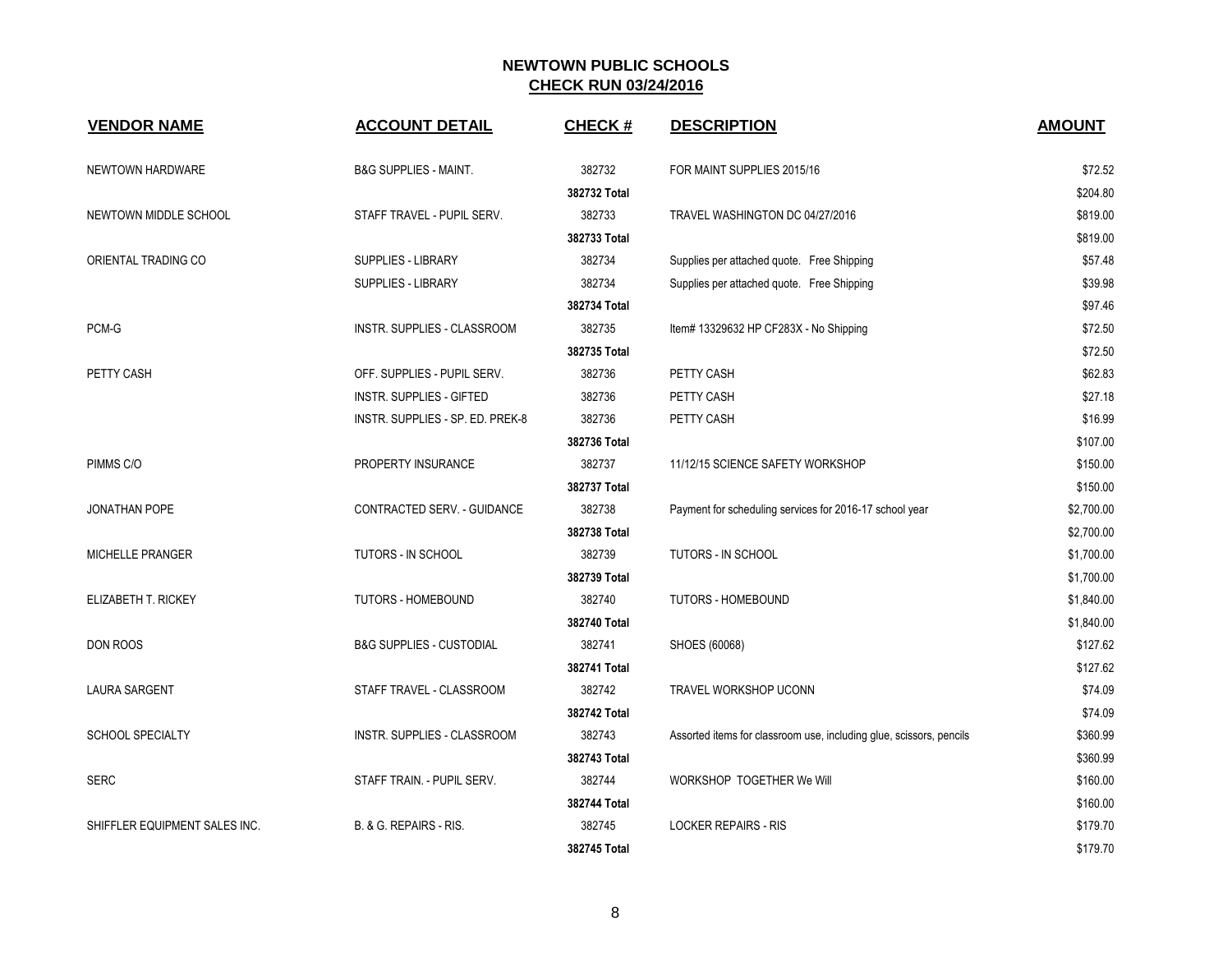| <b>VENDOR NAME</b>            | <b>ACCOUNT DETAIL</b>               | <b>CHECK#</b> | <b>DESCRIPTION</b>                                                  | <b>AMOUNT</b> |
|-------------------------------|-------------------------------------|---------------|---------------------------------------------------------------------|---------------|
| NEWTOWN HARDWARE              | <b>B&amp;G SUPPLIES - MAINT.</b>    | 382732        | FOR MAINT SUPPLIES 2015/16                                          | \$72.52       |
|                               |                                     | 382732 Total  |                                                                     | \$204.80      |
| NEWTOWN MIDDLE SCHOOL         | STAFF TRAVEL - PUPIL SERV.          | 382733        | TRAVEL WASHINGTON DC 04/27/2016                                     | \$819.00      |
|                               |                                     | 382733 Total  |                                                                     | \$819.00      |
| ORIENTAL TRADING CO           | SUPPLIES - LIBRARY                  | 382734        | Supplies per attached quote. Free Shipping                          | \$57.48       |
|                               | SUPPLIES - LIBRARY                  | 382734        | Supplies per attached quote. Free Shipping                          | \$39.98       |
|                               |                                     | 382734 Total  |                                                                     | \$97.46       |
| PCM-G                         | INSTR. SUPPLIES - CLASSROOM         | 382735        | Item# 13329632 HP CF283X - No Shipping                              | \$72.50       |
|                               |                                     | 382735 Total  |                                                                     | \$72.50       |
| PETTY CASH                    | OFF. SUPPLIES - PUPIL SERV.         | 382736        | PETTY CASH                                                          | \$62.83       |
|                               | <b>INSTR. SUPPLIES - GIFTED</b>     | 382736        | PETTY CASH                                                          | \$27.18       |
|                               | INSTR. SUPPLIES - SP. ED. PREK-8    | 382736        | PETTY CASH                                                          | \$16.99       |
|                               |                                     | 382736 Total  |                                                                     | \$107.00      |
| PIMMS C/O                     | PROPERTY INSURANCE                  | 382737        | 11/12/15 SCIENCE SAFETY WORKSHOP                                    | \$150.00      |
|                               |                                     | 382737 Total  |                                                                     | \$150.00      |
| <b>JONATHAN POPE</b>          | CONTRACTED SERV. - GUIDANCE         | 382738        | Payment for scheduling services for 2016-17 school year             | \$2,700.00    |
|                               |                                     | 382738 Total  |                                                                     | \$2,700.00    |
| <b>MICHELLE PRANGER</b>       | <b>TUTORS - IN SCHOOL</b>           | 382739        | TUTORS - IN SCHOOL                                                  | \$1,700.00    |
|                               |                                     | 382739 Total  |                                                                     | \$1,700.00    |
| ELIZABETH T. RICKEY           | <b>TUTORS - HOMEBOUND</b>           | 382740        | <b>TUTORS - HOMEBOUND</b>                                           | \$1,840.00    |
|                               |                                     | 382740 Total  |                                                                     | \$1,840.00    |
| DON ROOS                      | <b>B&amp;G SUPPLIES - CUSTODIAL</b> | 382741        | SHOES (60068)                                                       | \$127.62      |
|                               |                                     | 382741 Total  |                                                                     | \$127.62      |
| <b>LAURA SARGENT</b>          | STAFF TRAVEL - CLASSROOM            | 382742        | TRAVEL WORKSHOP UCONN                                               | \$74.09       |
|                               |                                     | 382742 Total  |                                                                     | \$74.09       |
| <b>SCHOOL SPECIALTY</b>       | INSTR. SUPPLIES - CLASSROOM         | 382743        | Assorted items for classroom use, including glue, scissors, pencils | \$360.99      |
|                               |                                     | 382743 Total  |                                                                     | \$360.99      |
| <b>SERC</b>                   | STAFF TRAIN. - PUPIL SERV.          | 382744        | WORKSHOP TOGETHER We Will                                           | \$160.00      |
|                               |                                     | 382744 Total  |                                                                     | \$160.00      |
| SHIFFLER EQUIPMENT SALES INC. | B. & G. REPAIRS - RIS.              | 382745        | <b>LOCKER REPAIRS - RIS</b>                                         | \$179.70      |
|                               |                                     | 382745 Total  |                                                                     | \$179.70      |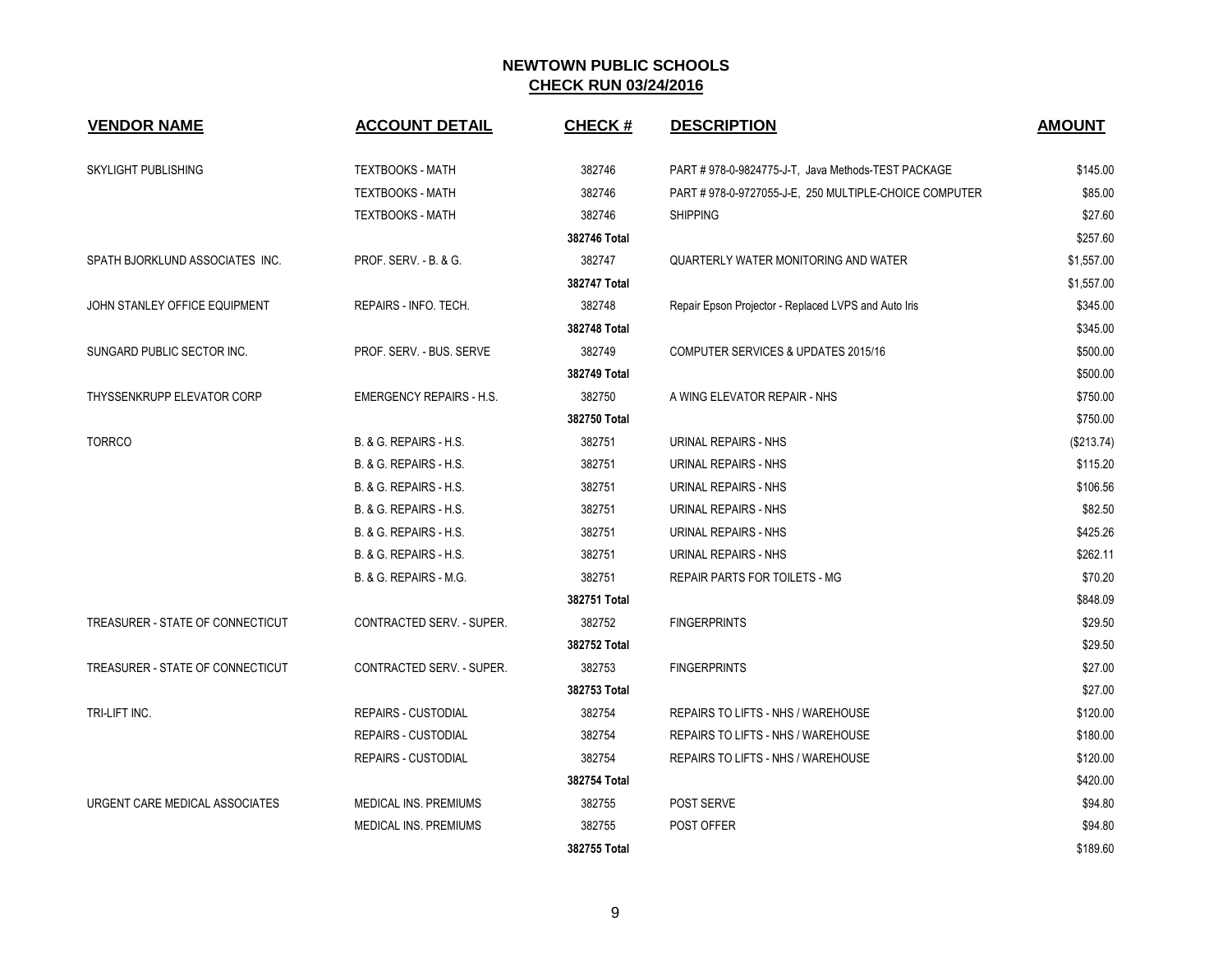| <b>VENDOR NAME</b>               | <b>ACCOUNT DETAIL</b>            | <b>CHECK#</b> | <b>DESCRIPTION</b>                                    | <b>AMOUNT</b> |
|----------------------------------|----------------------------------|---------------|-------------------------------------------------------|---------------|
| <b>SKYLIGHT PUBLISHING</b>       | <b>TEXTBOOKS - MATH</b>          | 382746        | PART #978-0-9824775-J-T, Java Methods-TEST PACKAGE    | \$145.00      |
|                                  | <b>TEXTBOOKS - MATH</b>          | 382746        | PART #978-0-9727055-J-E, 250 MULTIPLE-CHOICE COMPUTER | \$85.00       |
|                                  | <b>TEXTBOOKS - MATH</b>          | 382746        | <b>SHIPPING</b>                                       | \$27.60       |
|                                  |                                  | 382746 Total  |                                                       | \$257.60      |
| SPATH BJORKLUND ASSOCIATES INC.  | <b>PROF. SERV. - B. &amp; G.</b> | 382747        | QUARTERLY WATER MONITORING AND WATER                  | \$1,557.00    |
|                                  |                                  | 382747 Total  |                                                       | \$1,557.00    |
| JOHN STANLEY OFFICE EQUIPMENT    | REPAIRS - INFO. TECH.            | 382748        | Repair Epson Projector - Replaced LVPS and Auto Iris  | \$345.00      |
|                                  |                                  | 382748 Total  |                                                       | \$345.00      |
| SUNGARD PUBLIC SECTOR INC.       | PROF. SERV. - BUS. SERVE         | 382749        | COMPUTER SERVICES & UPDATES 2015/16                   | \$500.00      |
|                                  |                                  | 382749 Total  |                                                       | \$500.00      |
| THYSSENKRUPP ELEVATOR CORP       | <b>EMERGENCY REPAIRS - H.S.</b>  | 382750        | A WING ELEVATOR REPAIR - NHS                          | \$750.00      |
|                                  |                                  | 382750 Total  |                                                       | \$750.00      |
| <b>TORRCO</b>                    | B. & G. REPAIRS - H.S.           | 382751        | URINAL REPAIRS - NHS                                  | (\$213.74)    |
|                                  | B. & G. REPAIRS - H.S.           | 382751        | URINAL REPAIRS - NHS                                  | \$115.20      |
|                                  | B. & G. REPAIRS - H.S.           | 382751        | URINAL REPAIRS - NHS                                  | \$106.56      |
|                                  | B. & G. REPAIRS - H.S.           | 382751        | URINAL REPAIRS - NHS                                  | \$82.50       |
|                                  | B. & G. REPAIRS - H.S.           | 382751        | URINAL REPAIRS - NHS                                  | \$425.26      |
|                                  | B. & G. REPAIRS - H.S.           | 382751        | URINAL REPAIRS - NHS                                  | \$262.11      |
|                                  | B. & G. REPAIRS - M.G.           | 382751        | <b>REPAIR PARTS FOR TOILETS - MG</b>                  | \$70.20       |
|                                  |                                  | 382751 Total  |                                                       | \$848.09      |
| TREASURER - STATE OF CONNECTICUT | <b>CONTRACTED SERV. - SUPER.</b> | 382752        | <b>FINGERPRINTS</b>                                   | \$29.50       |
|                                  |                                  | 382752 Total  |                                                       | \$29.50       |
| TREASURER - STATE OF CONNECTICUT | CONTRACTED SERV. - SUPER.        | 382753        | <b>FINGERPRINTS</b>                                   | \$27.00       |
|                                  |                                  | 382753 Total  |                                                       | \$27.00       |
| TRI-LIFT INC.                    | <b>REPAIRS - CUSTODIAL</b>       | 382754        | REPAIRS TO LIFTS - NHS / WAREHOUSE                    | \$120.00      |
|                                  | <b>REPAIRS - CUSTODIAL</b>       | 382754        | REPAIRS TO LIFTS - NHS / WAREHOUSE                    | \$180.00      |
|                                  | <b>REPAIRS - CUSTODIAL</b>       | 382754        | REPAIRS TO LIFTS - NHS / WAREHOUSE                    | \$120.00      |
|                                  |                                  | 382754 Total  |                                                       | \$420.00      |
| URGENT CARE MEDICAL ASSOCIATES   | <b>MEDICAL INS. PREMIUMS</b>     | 382755        | POST SERVE                                            | \$94.80       |
|                                  | <b>MEDICAL INS. PREMIUMS</b>     | 382755        | POST OFFER                                            | \$94.80       |
|                                  |                                  | 382755 Total  |                                                       | \$189.60      |